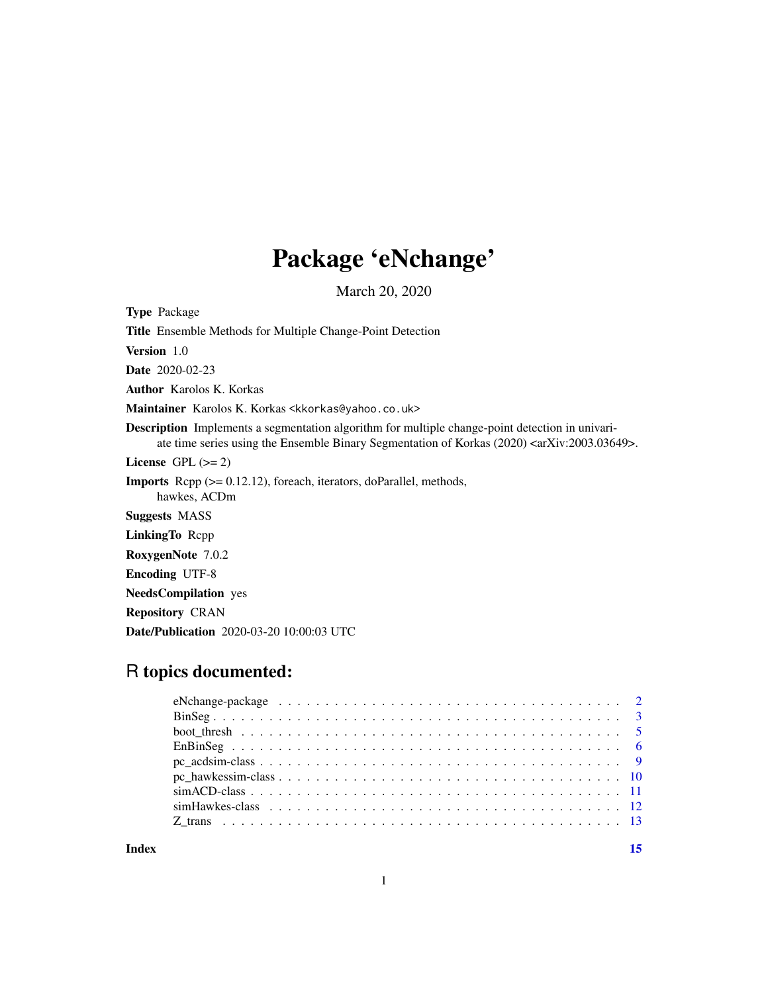## Package 'eNchange'

March 20, 2020

Type Package

Title Ensemble Methods for Multiple Change-Point Detection

Version 1.0

Date 2020-02-23

Author Karolos K. Korkas

Maintainer Karolos K. Korkas <kkorkas@yahoo.co.uk>

Description Implements a segmentation algorithm for multiple change-point detection in univariate time series using the Ensemble Binary Segmentation of Korkas (2020) <arKiv:2003.03649>.

License GPL  $(>= 2)$ 

Imports Rcpp (>= 0.12.12), foreach, iterators, doParallel, methods,

hawkes, ACDm

Suggests MASS

LinkingTo Rcpp

RoxygenNote 7.0.2

Encoding UTF-8

NeedsCompilation yes

Repository CRAN

Date/Publication 2020-03-20 10:00:03 UTC

### R topics documented:

| eNchange-package $\ldots \ldots \ldots \ldots \ldots \ldots \ldots \ldots \ldots \ldots \ldots \ldots \ldots 2$ |  |
|-----------------------------------------------------------------------------------------------------------------|--|
|                                                                                                                 |  |
|                                                                                                                 |  |
|                                                                                                                 |  |
|                                                                                                                 |  |
|                                                                                                                 |  |
|                                                                                                                 |  |
|                                                                                                                 |  |
|                                                                                                                 |  |
|                                                                                                                 |  |

**Index** [15](#page-14-0)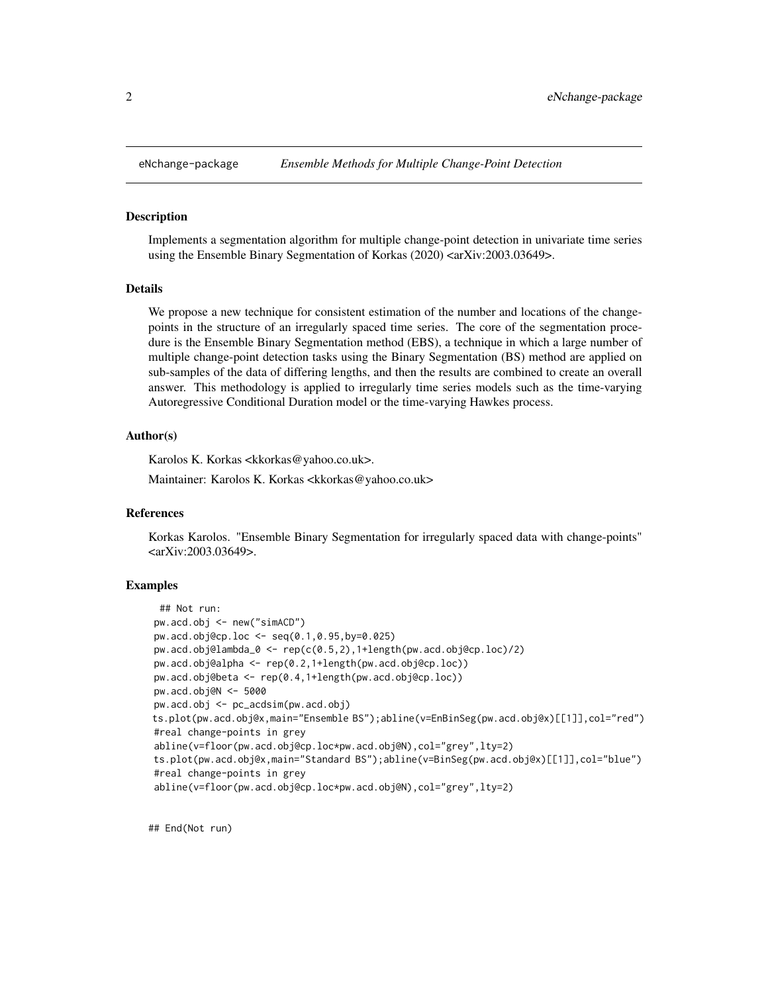<span id="page-1-0"></span>

Implements a segmentation algorithm for multiple change-point detection in univariate time series using the Ensemble Binary Segmentation of Korkas (2020) <arXiv:2003.03649>.

#### Details

We propose a new technique for consistent estimation of the number and locations of the changepoints in the structure of an irregularly spaced time series. The core of the segmentation procedure is the Ensemble Binary Segmentation method (EBS), a technique in which a large number of multiple change-point detection tasks using the Binary Segmentation (BS) method are applied on sub-samples of the data of differing lengths, and then the results are combined to create an overall answer. This methodology is applied to irregularly time series models such as the time-varying Autoregressive Conditional Duration model or the time-varying Hawkes process.

#### Author(s)

Karolos K. Korkas <kkorkas@yahoo.co.uk>.

Maintainer: Karolos K. Korkas <kkorkas@yahoo.co.uk>

#### References

Korkas Karolos. "Ensemble Binary Segmentation for irregularly spaced data with change-points" <arXiv:2003.03649>.

#### Examples

```
## Not run:
pw.acd.obj <- new("simACD")
pw.acd.obj@cp.loc <- seq(0.1,0.95,by=0.025)
pw.acd.obj@lambda_0 <- rep(c(0.5,2),1+length(pw.acd.obj@cp.loc)/2)
pw.acd.obj@alpha <- rep(0.2,1+length(pw.acd.obj@cp.loc))
pw.acd.obj@beta <- rep(0.4,1+length(pw.acd.obj@cp.loc))
pw.acd.obj@N <- 5000
pw.acd.obj <- pc_acdsim(pw.acd.obj)
ts.plot(pw.acd.obj@x,main="Ensemble BS");abline(v=EnBinSeg(pw.acd.obj@x)[[1]],col="red")
#real change-points in grey
abline(v=floor(pw.acd.obj@cp.loc*pw.acd.obj@N),col="grey",lty=2)
ts.plot(pw.acd.obj@x,main="Standard BS");abline(v=BinSeg(pw.acd.obj@x)[[1]],col="blue")
#real change-points in grey
abline(v=floor(pw.acd.obj@cp.loc*pw.acd.obj@N),col="grey",lty=2)
```
## End(Not run)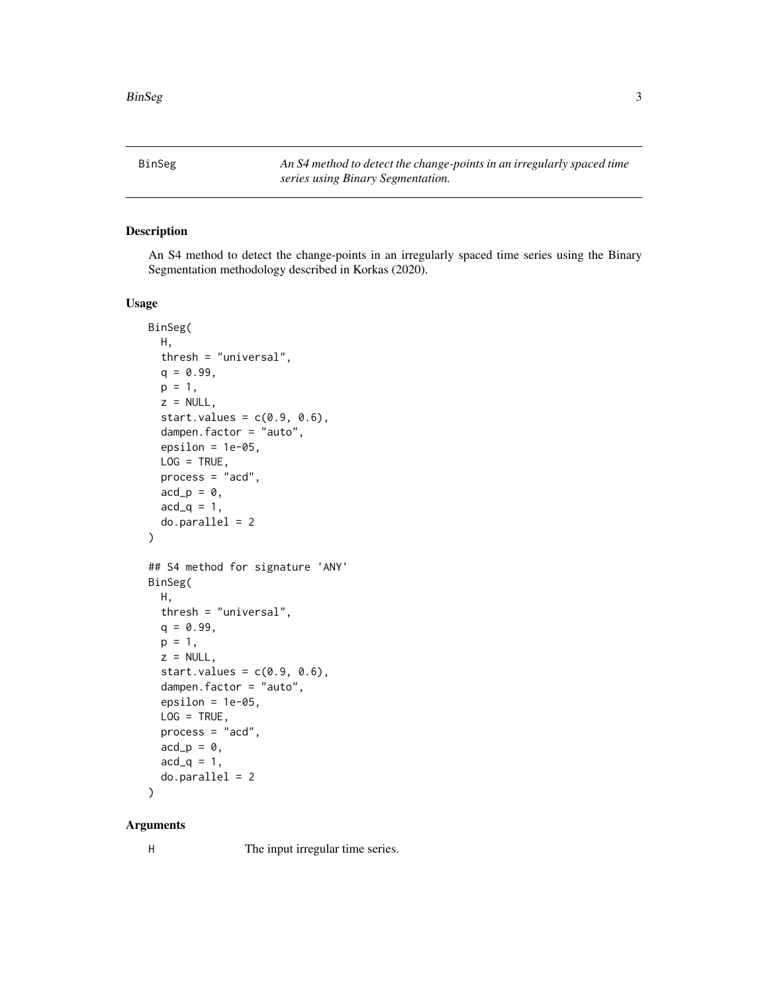<span id="page-2-0"></span>BinSeg *An S4 method to detect the change-points in an irregularly spaced time series using Binary Segmentation.*

#### Description

An S4 method to detect the change-points in an irregularly spaced time series using the Binary Segmentation methodology described in Korkas (2020).

#### Usage

```
BinSeg(
 H,
  thresh = "universal",
  q = 0.99,
 p = 1,
  z = NULL,start.values = c(0.9, 0.6),
  dampen.factor = "auto",
  epsilon = 1e-05,
 LOG = TRUE,process = "acd",
  acd_p = 0,
  acd_q = 1,
  do.parallel = 2
\mathcal{L}## S4 method for signature 'ANY'
BinSeg(
 H,
  thresh = "universal",
 q = 0.99,
 p = 1,
  z = NULL,start.values = c(0.9, 0.6),
  dampen.factor = "auto",
  epsilon = 1e-05,
 LOG = TRUE,process = "acd",
 acd_p = 0,
  acd_q = 1,
  do.parallel = 2
)
```
### Arguments

H The input irregular time series.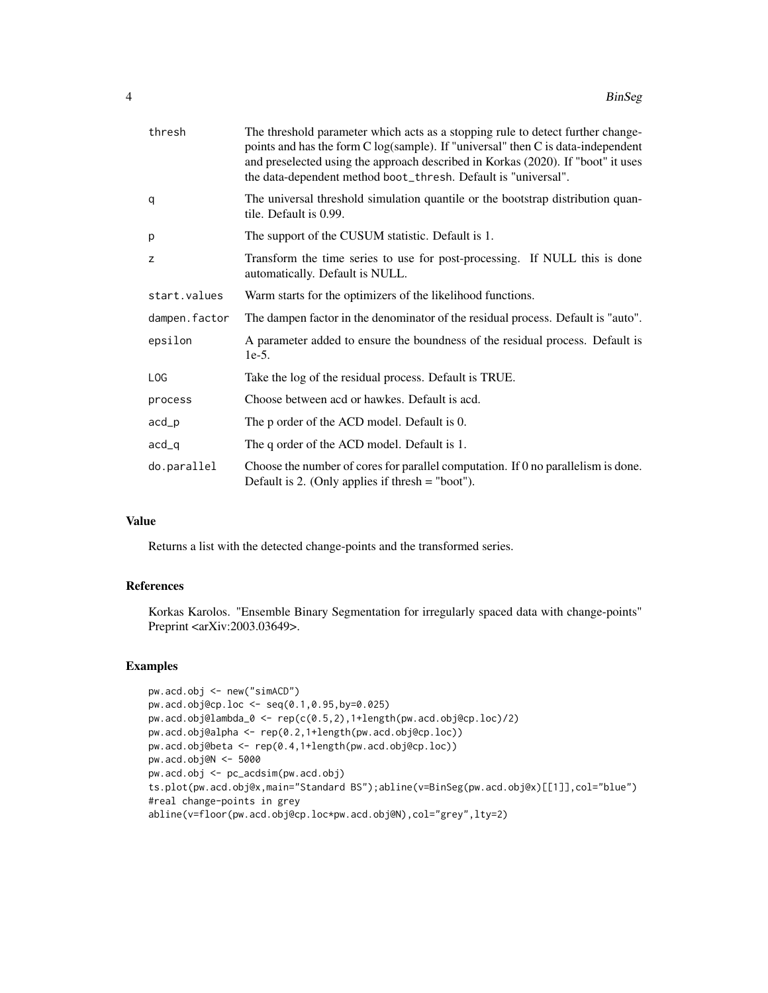| thresh          | The threshold parameter which acts as a stopping rule to detect further change-<br>points and has the form C log(sample). If "universal" then C is data-independent<br>and preselected using the approach described in Korkas (2020). If "boot" it uses<br>the data-dependent method boot_thresh. Default is "universal". |
|-----------------|---------------------------------------------------------------------------------------------------------------------------------------------------------------------------------------------------------------------------------------------------------------------------------------------------------------------------|
| q               | The universal threshold simulation quantile or the bootstrap distribution quan-<br>tile. Default is 0.99.                                                                                                                                                                                                                 |
| p               | The support of the CUSUM statistic. Default is 1.                                                                                                                                                                                                                                                                         |
| z               | Transform the time series to use for post-processing. If NULL this is done<br>automatically. Default is NULL.                                                                                                                                                                                                             |
| start.values    | Warm starts for the optimizers of the likelihood functions.                                                                                                                                                                                                                                                               |
| dampen.factor   | The dampen factor in the denominator of the residual process. Default is "auto".                                                                                                                                                                                                                                          |
| epsilon         | A parameter added to ensure the boundness of the residual process. Default is<br>$1e-5.$                                                                                                                                                                                                                                  |
| L <sub>OG</sub> | Take the log of the residual process. Default is TRUE.                                                                                                                                                                                                                                                                    |
| process         | Choose between acd or hawkes. Default is acd.                                                                                                                                                                                                                                                                             |
| acd             | The p order of the ACD model. Default is 0.                                                                                                                                                                                                                                                                               |
| $acd_q$         | The q order of the ACD model. Default is 1.                                                                                                                                                                                                                                                                               |
| do.parallel     | Choose the number of cores for parallel computation. If 0 no parallelism is done.<br>Default is 2. (Only applies if thresh $=$ "boot").                                                                                                                                                                                   |

Returns a list with the detected change-points and the transformed series.

#### References

Korkas Karolos. "Ensemble Binary Segmentation for irregularly spaced data with change-points" Preprint <arXiv:2003.03649>.

```
pw.acd.obj <- new("simACD")
pw.acd.obj@cp.loc <- seq(0.1,0.95,by=0.025)
pw.acd.obj@lambda_0 <- rep(c(0.5,2),1+length(pw.acd.obj@cp.loc)/2)
pw.acd.obj@alpha <- rep(0.2,1+length(pw.acd.obj@cp.loc))
pw.acd.obj@beta <- rep(0.4,1+length(pw.acd.obj@cp.loc))
pw.acd.obj@N <- 5000
pw.acd.obj <- pc_acdsim(pw.acd.obj)
ts.plot(pw.acd.obj@x,main="Standard BS");abline(v=BinSeg(pw.acd.obj@x)[[1]],col="blue")
#real change-points in grey
abline(v=floor(pw.acd.obj@cp.loc*pw.acd.obj@N),col="grey",lty=2)
```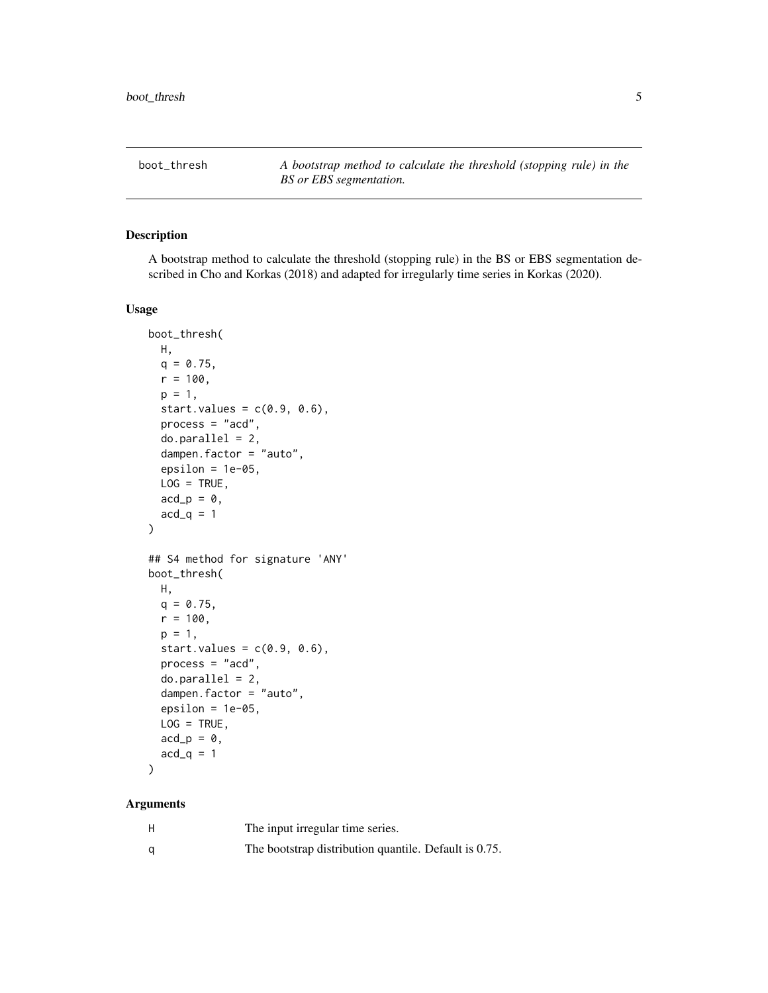<span id="page-4-0"></span>boot\_thresh *A bootstrap method to calculate the threshold (stopping rule) in the BS or EBS segmentation.*

#### Description

A bootstrap method to calculate the threshold (stopping rule) in the BS or EBS segmentation described in Cho and Korkas (2018) and adapted for irregularly time series in Korkas (2020).

#### Usage

```
boot_thresh(
 H,
 q = 0.75,
 r = 100,p = 1,
  start.values = c(0.9, 0.6),
 process = "acd",
  do.parallel = 2,dampen.factor = "auto",
  epsilon = 1e-05,
 LOG = TRUE,acd_p = 0,
 acd_q = 1)
## S4 method for signature 'ANY'
boot_thresh(
 H,
 q = 0.75,
 r = 100,p = 1,
  start.values = c(0.9, 0.6),
 process = "acd",
  do.parallel = 2,dampen.factor = "auto",
  epsilon = 1e-05,
 LOG = TRUE,acd_p = 0,
  acd_q = 1)
```
#### Arguments

| н | The input irregular time series.                      |
|---|-------------------------------------------------------|
| α | The bootstrap distribution quantile. Default is 0.75. |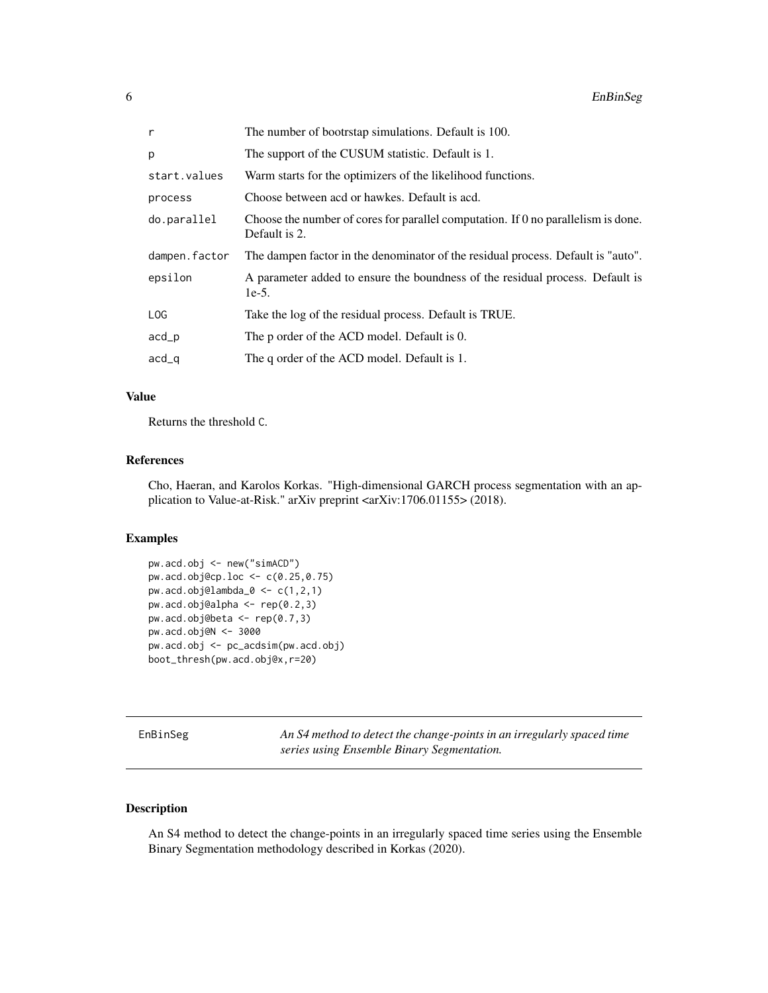<span id="page-5-0"></span>

| r             | The number of bootrstap simulations. Default is 100.                                                      |
|---------------|-----------------------------------------------------------------------------------------------------------|
| р             | The support of the CUSUM statistic. Default is 1.                                                         |
| start.values  | Warm starts for the optimizers of the likelihood functions.                                               |
| process       | Choose between acd or hawkes. Default is acd.                                                             |
| do.parallel   | Choose the number of cores for parallel computation. If $\theta$ no parallelism is done.<br>Default is 2. |
| dampen.factor | The dampen factor in the denominator of the residual process. Default is "auto".                          |
| epsilon       | A parameter added to ensure the boundness of the residual process. Default is<br>$1e-5.$                  |
| LOG           | Take the log of the residual process. Default is TRUE.                                                    |
| acd_p         | The p order of the ACD model. Default is 0.                                                               |
| acd_q         | The q order of the ACD model. Default is 1.                                                               |

Returns the threshold C.

#### References

Cho, Haeran, and Karolos Korkas. "High-dimensional GARCH process segmentation with an application to Value-at-Risk." arXiv preprint <arXiv:1706.01155> (2018).

#### Examples

```
pw.acd.obj <- new("simACD")
pw.acd.obj@cp.loc <- c(0.25,0.75)
pw.acd.obj@lambda_0 <- c(1,2,1)
pw.acd.obj@alpha <- rep(0.2,3)
pw.acd.obj@beta <- rep(0.7,3)
pw.acd.obj@N <- 3000
pw.acd.obj <- pc_acdsim(pw.acd.obj)
boot_thresh(pw.acd.obj@x,r=20)
```
EnBinSeg *An S4 method to detect the change-points in an irregularly spaced time series using Ensemble Binary Segmentation.*

#### Description

An S4 method to detect the change-points in an irregularly spaced time series using the Ensemble Binary Segmentation methodology described in Korkas (2020).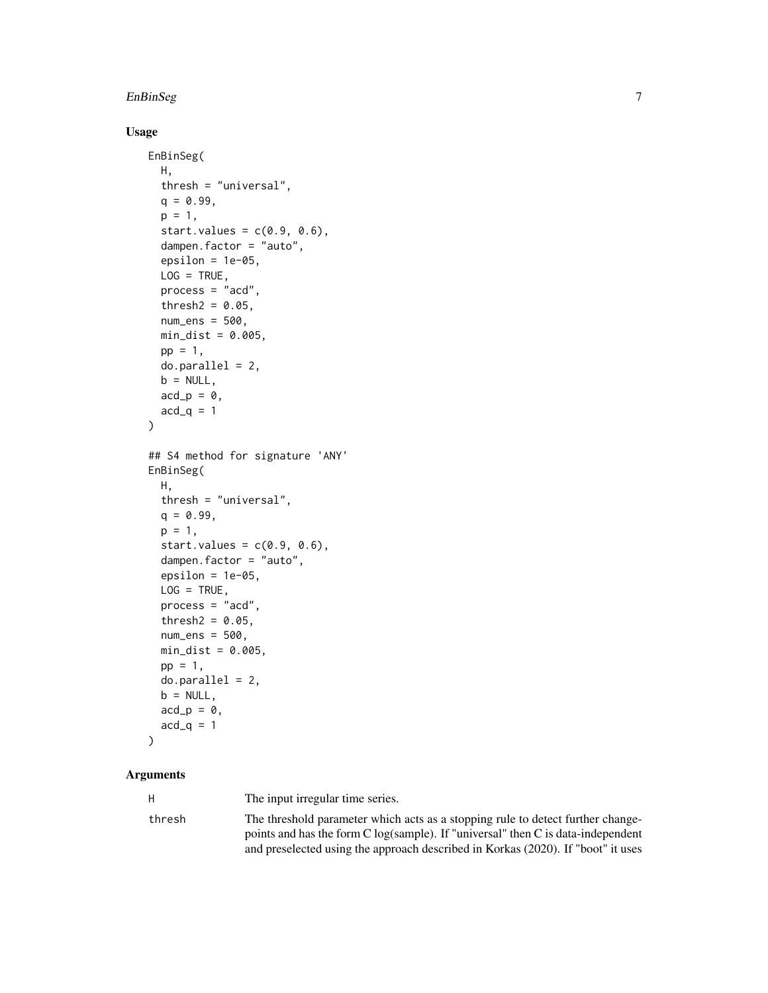#### EnBinSeg 7

#### Usage

```
EnBinSeg(
 H,
  thresh = "universal",
  q = 0.99,
 p = 1,
  start.values = c(0.9, 0.6),
  dampen.factor = "auto",
  epsilon = 1e-05,
 LOG = TRUE,process = "acd",
  thresh2 = 0.05,
  num\_ens = 500,min\_dist = 0.005,
 pp = 1,
  do.parallel = 2,b = NULL,acd_p = 0,
  acd_q = 1)
## S4 method for signature 'ANY'
EnBinSeg(
 H,
  thresh = "universal",
 q = 0.99,
  p = 1,
  start.values = c(0.9, 0.6),
  dampen.factor = "auto",
  epsilon = 1e-05,
 LOG = TRUE,process = "acd",thresh2 = 0.05,
  num_ens = 500,
 min\_dist = 0.005,
 pp = 1,
 do.parallel = 2,
 b = NULL,acd_p = 0,
 acd_q = 1\mathcal{L}
```
#### Arguments

H The input irregular time series.

| thresh | The threshold parameter which acts as a stopping rule to detect further change-               |
|--------|-----------------------------------------------------------------------------------------------|
|        | points and has the form $C \log(\text{sample})$ . If "universal" then $C$ is data-independent |
|        | and preselected using the approach described in Korkas (2020). If "boot" it uses              |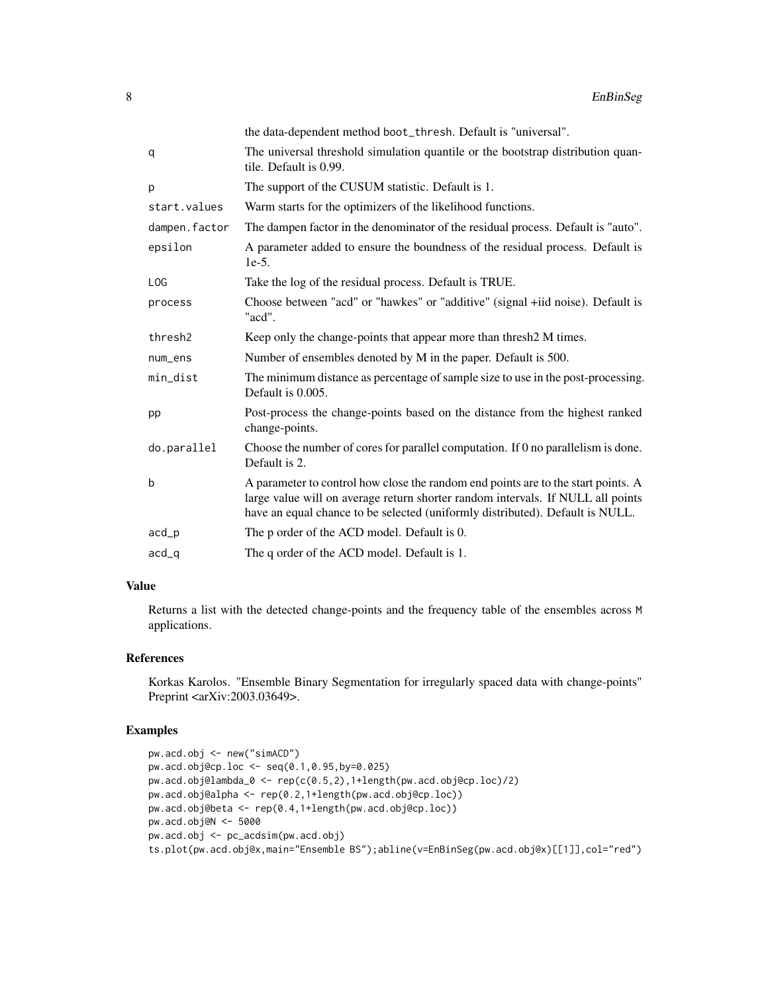|                 | the data-dependent method boot_thresh. Default is "universal".                                                                                                                                                                                        |
|-----------------|-------------------------------------------------------------------------------------------------------------------------------------------------------------------------------------------------------------------------------------------------------|
| q               | The universal threshold simulation quantile or the bootstrap distribution quan-<br>tile. Default is 0.99.                                                                                                                                             |
| p               | The support of the CUSUM statistic. Default is 1.                                                                                                                                                                                                     |
| start.values    | Warm starts for the optimizers of the likelihood functions.                                                                                                                                                                                           |
| dampen.factor   | The dampen factor in the denominator of the residual process. Default is "auto".                                                                                                                                                                      |
| epsilon         | A parameter added to ensure the boundness of the residual process. Default is<br>$1e-5$ .                                                                                                                                                             |
| L <sub>OG</sub> | Take the log of the residual process. Default is TRUE.                                                                                                                                                                                                |
| process         | Choose between "acd" or "hawkes" or "additive" (signal +iid noise). Default is<br>"acd".                                                                                                                                                              |
| thresh2         | Keep only the change-points that appear more than thresh2 M times.                                                                                                                                                                                    |
| num_ens         | Number of ensembles denoted by M in the paper. Default is 500.                                                                                                                                                                                        |
| min_dist        | The minimum distance as percentage of sample size to use in the post-processing.<br>Default is 0.005.                                                                                                                                                 |
| pp              | Post-process the change-points based on the distance from the highest ranked<br>change-points.                                                                                                                                                        |
| do.parallel     | Choose the number of cores for parallel computation. If 0 no parallelism is done.<br>Default is 2.                                                                                                                                                    |
| b               | A parameter to control how close the random end points are to the start points. A<br>large value will on average return shorter random intervals. If NULL all points<br>have an equal chance to be selected (uniformly distributed). Default is NULL. |
| acd             | The p order of the ACD model. Default is 0.                                                                                                                                                                                                           |
| $acd_q$         | The q order of the ACD model. Default is 1.                                                                                                                                                                                                           |

Returns a list with the detected change-points and the frequency table of the ensembles across M applications.

#### References

Korkas Karolos. "Ensemble Binary Segmentation for irregularly spaced data with change-points" Preprint <arXiv:2003.03649>.

```
pw.acd.obj <- new("simACD")
pw.acd.obj@cp.loc <- seq(0.1,0.95,by=0.025)
pw.acd.obj@lambda_0 <- rep(c(0.5,2),1+length(pw.acd.obj@cp.loc)/2)
pw.acd.obj@alpha <- rep(0.2,1+length(pw.acd.obj@cp.loc))
pw.acd.obj@beta <- rep(0.4,1+length(pw.acd.obj@cp.loc))
pw.acd.obj@N <- 5000
pw.acd.obj <- pc_acdsim(pw.acd.obj)
ts.plot(pw.acd.obj@x,main="Ensemble BS");abline(v=EnBinSeg(pw.acd.obj@x)[[1]],col="red")
```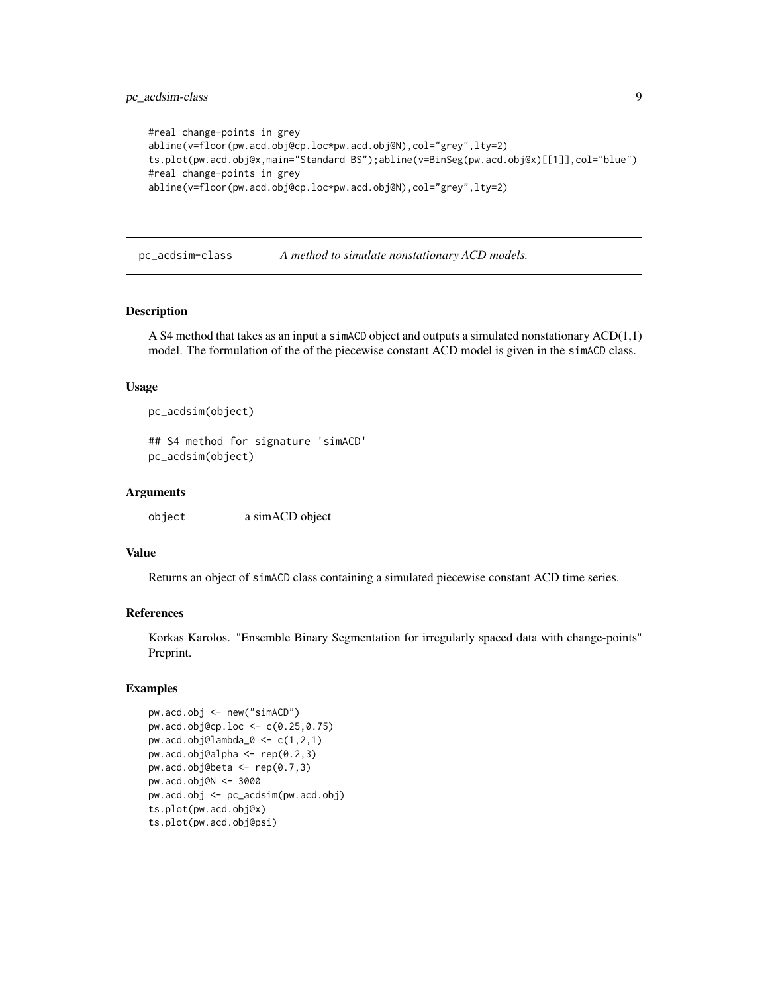```
#real change-points in grey
abline(v=floor(pw.acd.obj@cp.loc*pw.acd.obj@N),col="grey",lty=2)
ts.plot(pw.acd.obj@x,main="Standard BS");abline(v=BinSeg(pw.acd.obj@x)[[1]],col="blue")
#real change-points in grey
abline(v=floor(pw.acd.obj@cp.loc*pw.acd.obj@N),col="grey",lty=2)
```
pc\_acdsim-class *A method to simulate nonstationary ACD models.*

#### Description

A S4 method that takes as an input a simACD object and outputs a simulated nonstationary  $ACD(1,1)$ model. The formulation of the of the piecewise constant ACD model is given in the simACD class.

#### Usage

```
pc_acdsim(object)
```
## S4 method for signature 'simACD' pc\_acdsim(object)

#### Arguments

object a simACD object

#### Value

Returns an object of simACD class containing a simulated piecewise constant ACD time series.

#### References

Korkas Karolos. "Ensemble Binary Segmentation for irregularly spaced data with change-points" Preprint.

```
pw.acd.obj <- new("simACD")
pw.acd.obj@cp.loc <- c(0.25,0.75)
pw.acd.obj@lambda_0 <- c(1,2,1)pw.acd.obj@alpha <- rep(0.2,3)
pw.acd.obj@beta <- rep(0.7,3)
pw.acd.obj@N <- 3000
pw.acd.obj <- pc_acdsim(pw.acd.obj)
ts.plot(pw.acd.obj@x)
ts.plot(pw.acd.obj@psi)
```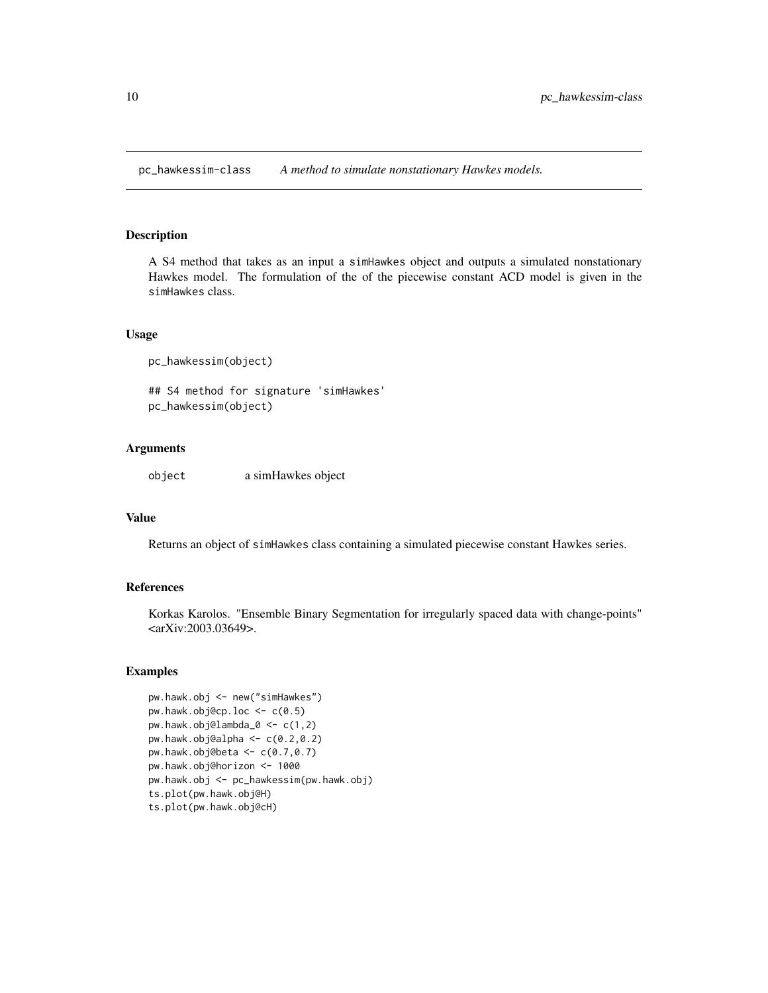<span id="page-9-0"></span>pc\_hawkessim-class *A method to simulate nonstationary Hawkes models.*

#### Description

A S4 method that takes as an input a simHawkes object and outputs a simulated nonstationary Hawkes model. The formulation of the of the piecewise constant ACD model is given in the simHawkes class.

#### Usage

```
pc_hawkessim(object)
```
## S4 method for signature 'simHawkes' pc\_hawkessim(object)

#### Arguments

object a simHawkes object

#### Value

Returns an object of simHawkes class containing a simulated piecewise constant Hawkes series.

#### References

Korkas Karolos. "Ensemble Binary Segmentation for irregularly spaced data with change-points" <arXiv:2003.03649>.

```
pw.hawk.obj <- new("simHawkes")
pw.hawk.obj@cp.loc \leq \leq \in (0.5)pw.hawk.obj@lambda_0 <- c(1,2)
pw.hawk.obj@alpha <- c(0.2,0.2)
pw.hawk.obj@beta \leq c(0.7, 0.7)pw.hawk.obj@horizon <- 1000
pw.hawk.obj <- pc_hawkessim(pw.hawk.obj)
ts.plot(pw.hawk.obj@H)
ts.plot(pw.hawk.obj@cH)
```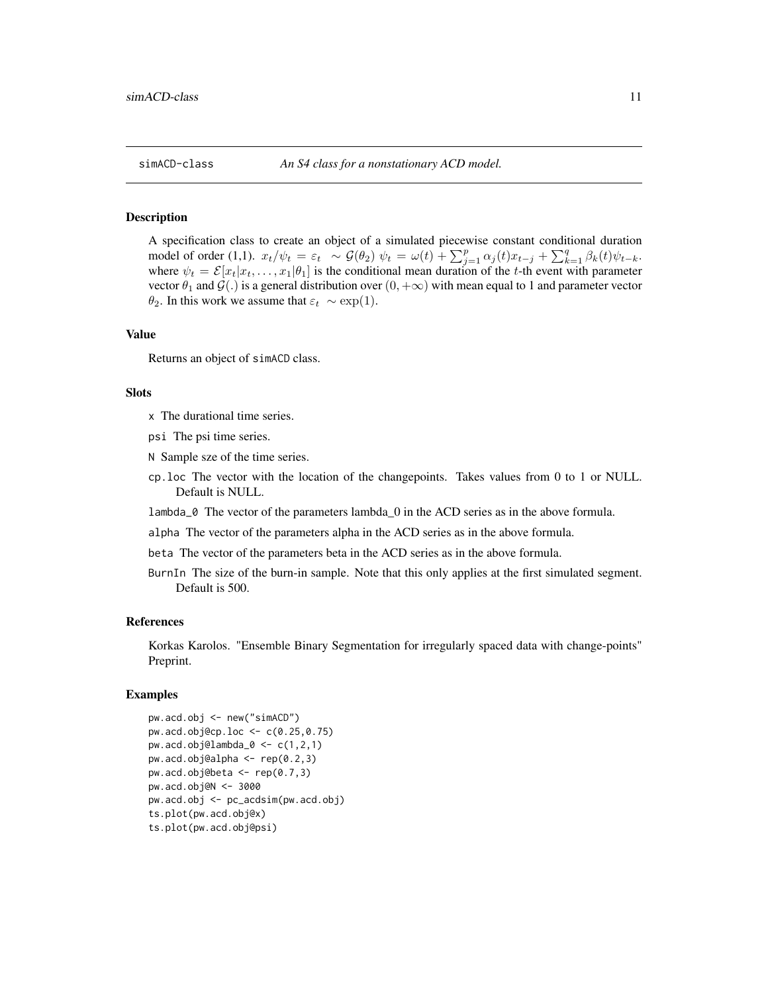<span id="page-10-0"></span>

A specification class to create an object of a simulated piecewise constant conditional duration model of order (1,1).  $x_t/\psi_t = \varepsilon_t \sim \mathcal{G}(\theta_2)$   $\psi_t = \omega(t) + \sum_{j=1}^p \alpha_j(t)x_{t-j} + \sum_{k=1}^q \beta_k(t)\psi_{t-k}$ . where  $\psi_t = \mathcal{E}[x_t|x_t, \dots, x_1|\theta_1]$  is the conditional mean duration of the t-th event with parameter vector  $\theta_1$  and  $\mathcal{G}(.)$  is a general distribution over  $(0, +\infty)$  with mean equal to 1 and parameter vector  $\theta_2$ . In this work we assume that  $\varepsilon_t \sim \exp(1)$ .

#### Value

Returns an object of simACD class.

#### Slots

- x The durational time series.
- psi The psi time series.
- N Sample sze of the time series.
- cp.loc The vector with the location of the changepoints. Takes values from 0 to 1 or NULL. Default is NULL.
- lambda\_0 The vector of the parameters lambda\_0 in the ACD series as in the above formula.
- alpha The vector of the parameters alpha in the ACD series as in the above formula.
- beta The vector of the parameters beta in the ACD series as in the above formula.
- BurnIn The size of the burn-in sample. Note that this only applies at the first simulated segment. Default is 500.

#### References

Korkas Karolos. "Ensemble Binary Segmentation for irregularly spaced data with change-points" Preprint.

```
pw.acd.obj <- new("simACD")
pw.acd.obj@cp.loc <- c(0.25,0.75)
pw.acd.obj@lambda_0 <- c(1,2,1)pw.acd.obj@alpha <- rep(0.2,3)
pw.acd.obj@beta <- rep(0.7,3)
pw.acd.obj@N <- 3000
pw.acd.obj <- pc_acdsim(pw.acd.obj)
ts.plot(pw.acd.obj@x)
ts.plot(pw.acd.obj@psi)
```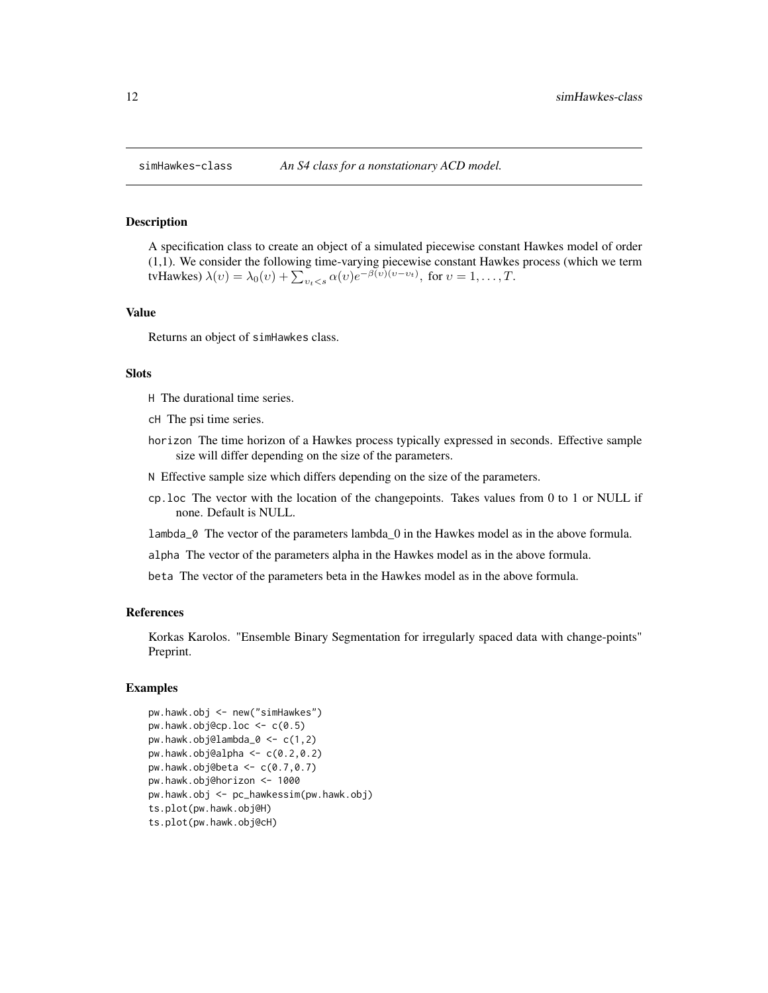<span id="page-11-0"></span>A specification class to create an object of a simulated piecewise constant Hawkes model of order (1,1). We consider the following time-varying piecewise constant Hawkes process (which we term tvHawkes)  $\lambda(v) = \lambda_0(v) + \sum_{v_t < s} \alpha(v) e^{-\beta(v)(v - v_t)},$  for  $v = 1, \dots, T$ .

#### Value

Returns an object of simHawkes class.

#### Slots

- H The durational time series.
- cH The psi time series.
- horizon The time horizon of a Hawkes process typically expressed in seconds. Effective sample size will differ depending on the size of the parameters.
- N Effective sample size which differs depending on the size of the parameters.
- cp.loc The vector with the location of the changepoints. Takes values from 0 to 1 or NULL if none. Default is NULL.
- lambda\_0 The vector of the parameters lambda\_0 in the Hawkes model as in the above formula.
- alpha The vector of the parameters alpha in the Hawkes model as in the above formula.

beta The vector of the parameters beta in the Hawkes model as in the above formula.

#### References

Korkas Karolos. "Ensemble Binary Segmentation for irregularly spaced data with change-points" Preprint.

```
pw.hawk.obj <- new("simHawkes")
pw.hawk.obj@cp.loc <- c(0.5)
pw.hawk.obj@lambda_0 <- c(1,2)
pw.hawk.obj@alpha \leq -c(0.2, 0.2)pw.hawk.obj@beta \leq -c(0.7, 0.7)pw.hawk.obj@horizon <- 1000
pw.hawk.obj <- pc_hawkessim(pw.hawk.obj)
ts.plot(pw.hawk.obj@H)
ts.plot(pw.hawk.obj@cH)
```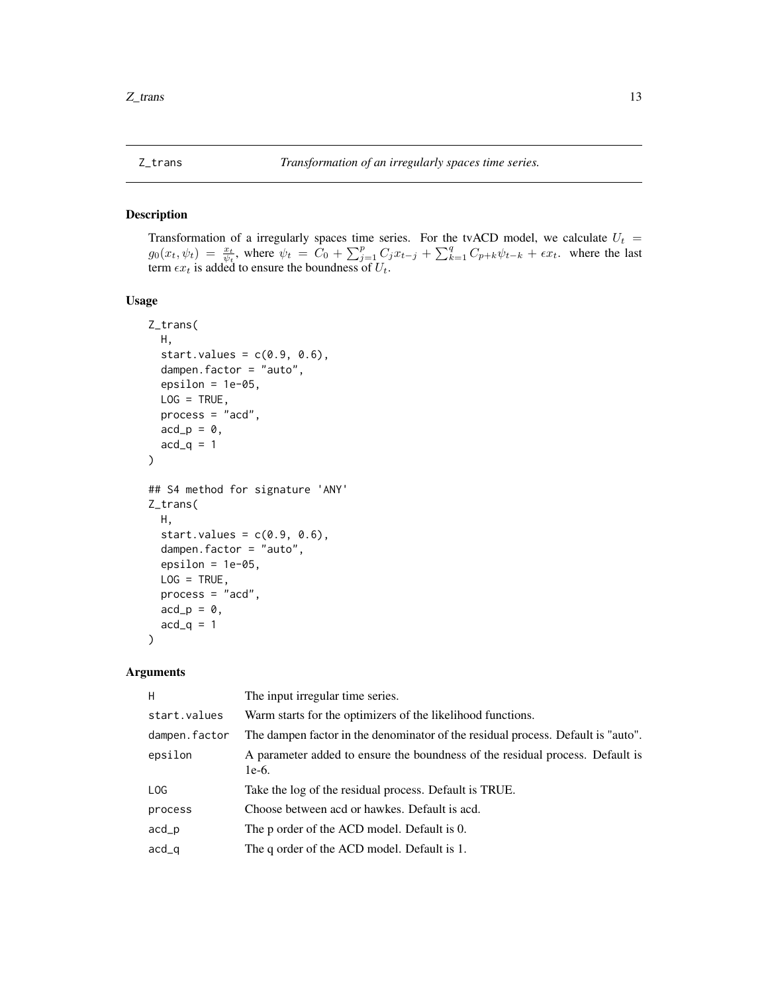<span id="page-12-0"></span>

Transformation of a irregularly spaces time series. For the tvACD model, we calculate  $U_t$  =  $g_0(x_t, \psi_t) = \frac{x_t}{\psi_t}$ , where  $\psi_t = C_0 + \sum_{j=1}^p C_j x_{t-j} + \sum_{k=1}^q C_{p+k} \psi_{t-k} + \epsilon x_t$ . where the last term  $\epsilon x_t$  is added to ensure the boundness of  $U_t$ .

#### Usage

```
Z_trans(
 H,
  start.values = c(0.9, 0.6),
 dampen.factor = "auto",
 epsilon = 1e-05,
 LOG = TRUE,process = "acd",
 acd_p = 0,
 acd_q = 1)
## S4 method for signature 'ANY'
Z_trans(
 H,
  start.values = c(0.9, 0.6),
  dampen.factor = "auto",
 epsilon = 1e-05,
 LOG = TRUE,process = "acd",acd_p = 0,
 acd_q = 1)
```
#### Arguments

| H             | The input irregular time series.                                                         |
|---------------|------------------------------------------------------------------------------------------|
| start.values  | Warm starts for the optimizers of the likelihood functions.                              |
| dampen.factor | The dampen factor in the denominator of the residual process. Default is "auto".         |
| epsilon       | A parameter added to ensure the boundness of the residual process. Default is<br>$1e-6.$ |
| LOG           | Take the log of the residual process. Default is TRUE.                                   |
| process       | Choose between acd or hawkes. Default is acd.                                            |
| acd           | The p order of the ACD model. Default is 0.                                              |
| $acd_q$       | The q order of the ACD model. Default is 1.                                              |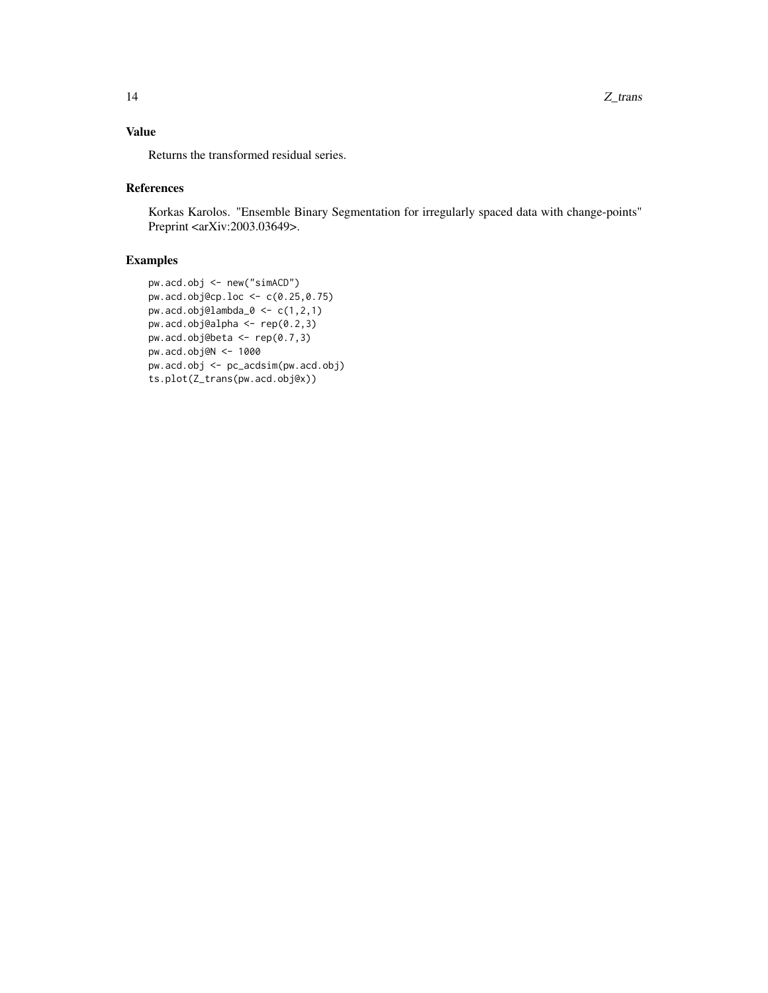Returns the transformed residual series.

#### References

Korkas Karolos. "Ensemble Binary Segmentation for irregularly spaced data with change-points" Preprint <arXiv:2003.03649>.

```
pw.acd.obj <- new("simACD")
pw.acd.obj@cp.loc <- c(0.25,0.75)
pw.acd.obj@lambda_0 <- c(1,2,1)
pw.acd.obj@alpha <- rep(0.2,3)
pw.acd.obj@beta <- rep(0.7,3)
pw.acd.obj@N <- 1000
pw.acd.obj <- pc_acdsim(pw.acd.obj)
ts.plot(Z_trans(pw.acd.obj@x))
```